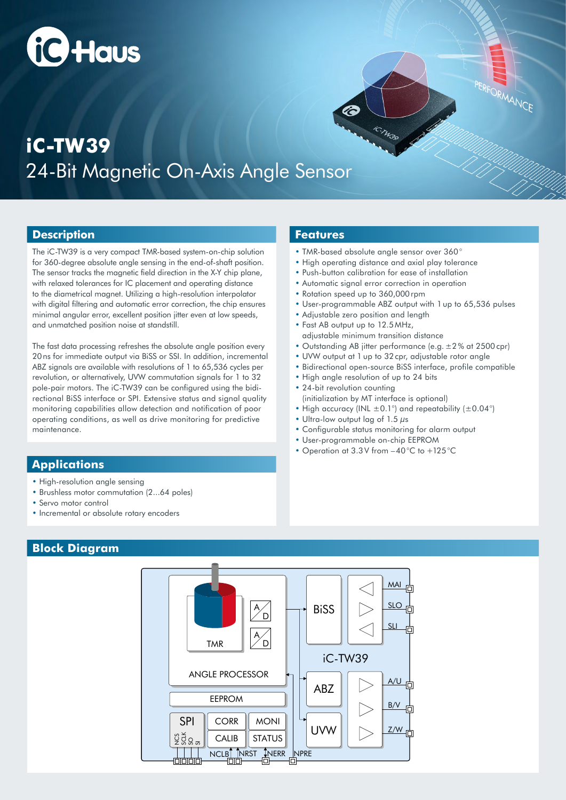# **fig Haus**

## 24-Bit Magnetic On-Axis Angle Sensor **iC-TW39**

### **Description**

The iC-TW39 is a very compact TMR-based system-on-chip solution for 360-degree absolute angle sensing in the end-of-shaft position. The sensor tracks the magnetic field direction in the X-Y chip plane, with relaxed tolerances for IC placement and operating distance to the diametrical magnet. Utilizing a high-resolution interpolator with digital filtering and automatic error correction, the chip ensures minimal angular error, excellent position jitter even at low speeds, and unmatched position noise at standstill.

The fast data processing refreshes the absolute angle position every 20ns for immediate output via BiSS or SSI. In addition, incremental ABZ signals are available with resolutions of 1 to 65,536 cycles per revolution, or alternatively, UVW commutation signals for 1 to 32 pole-pair motors. The iC-TW39 can be configured using the bidirectional BiSS interface or SPI. Extensive status and signal quality monitoring capabilities allow detection and notification of poor operating conditions, as well as drive monitoring for predictive maintenance.

### **Applications**

- High-resolution angle sensing
- Brushless motor commutation (2...64 poles)
- Servo motor control
- Incremental or absolute rotary encoders

### **Block Diagram**



#### **Features**

- TMR-based absolute angle sensor over 360°
- High operating distance and axial play tolerance

iC.TW39

- Push-button calibration for ease of installation
- Automatic signal error correction in operation
- Rotation speed up to 360,000rpm

2

• User-programmable ABZ output with 1 up to 65,536 pulses

PERFORMANCE

- Adjustable zero position and length
- Fast AB output up to 12.5 MHz, adjustable minimum transition distance
- Outstanding AB jitter performance (e.g. ±2% at 2500cpr)
- UVW output at 1 up to 32cpr, adjustable rotor angle
- Bidirectional open-source BiSS interface, profile compatible
- High angle resolution of up to 24 bits
- 24-bit revolution counting (initialization by MT interface is optional)
- High accuracy (INL  $\pm$ 0.1°) and repeatability ( $\pm$ 0.04°)
- Ultra-low output lag of 1.5  $\mu$ s
- Configurable status monitoring for alarm output
- User-programmable on-chip EEPROM
- Operation at 3.3V from –40°C to +125°C